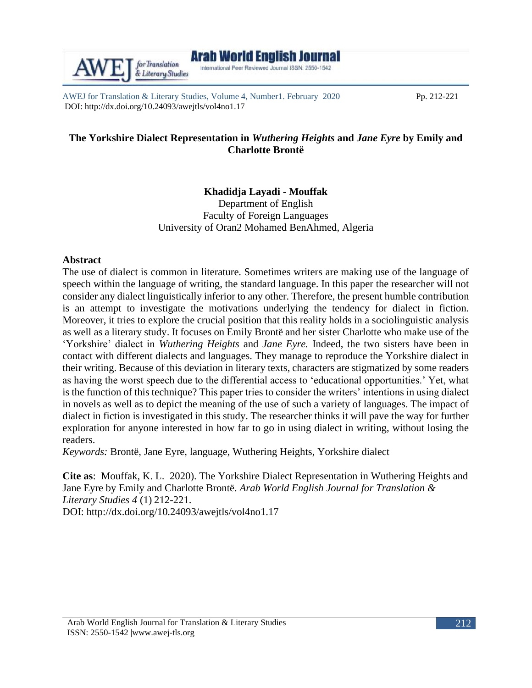AWEJ for Translation & Literary Studies, Volume 4, Number1. February 2020 Pp. 212-221 DOI: http://dx.doi.org/10.24093/awejtls/vol4no1.17

& Literary Studies

# **The Yorkshire Dialect Representation in** *Wuthering Heights* **and** *Jane Eyre* **by Emily and Charlotte Brontë**

## **Khadidja Layadi - Mouffak**

Department of English Faculty of Foreign Languages University of Oran2 Mohamed BenAhmed, Algeria

### **Abstract**

The use of dialect is common in literature. Sometimes writers are making use of the language of speech within the language of writing, the standard language. In this paper the researcher will not consider any dialect linguistically inferior to any other. Therefore, the present humble contribution is an attempt to investigate the motivations underlying the tendency for dialect in fiction. Moreover, it tries to explore the crucial position that this reality holds in a sociolinguistic analysis as well as a literary study. It focuses on Emily Brontë and her sister Charlotte who make use of the 'Yorkshire' dialect in *Wuthering Heights* and *Jane Eyre.* Indeed, the two sisters have been in contact with different dialects and languages. They manage to reproduce the Yorkshire dialect in their writing. Because of this deviation in literary texts, characters are stigmatized by some readers as having the worst speech due to the differential access to 'educational opportunities.' Yet, what is the function of this technique? This paper tries to consider the writers' intentions in using dialect in novels as well as to depict the meaning of the use of such a variety of languages. The impact of dialect in fiction is investigated in this study. The researcher thinks it will pave the way for further exploration for anyone interested in how far to go in using dialect in writing, without losing the readers.

*Keywords:* Brontë, Jane Eyre, language, Wuthering Heights, Yorkshire dialect

**Cite as**: Mouffak, K. L. 2020). The Yorkshire Dialect Representation in Wuthering Heights and Jane Eyre by Emily and Charlotte Brontë. *Arab World English Journal for Translation & Literary Studies 4* (1) 212-221. DOI: http://dx.doi.org/10.24093/awejtls/vol4no1.17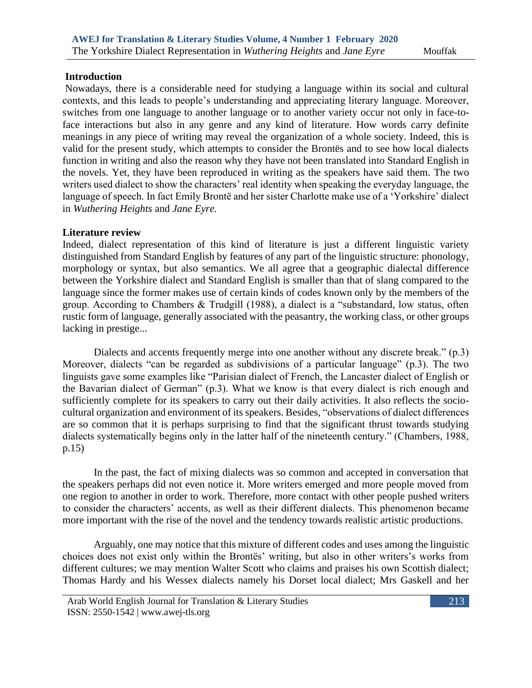### **Introduction**

Nowadays, there is a considerable need for studying a language within its social and cultural contexts, and this leads to people's understanding and appreciating literary language. Moreover, switches from one language to another language or to another variety occur not only in face-toface interactions but also in any genre and any kind of literature. How words carry definite meanings in any piece of writing may reveal the organization of a whole society. Indeed, this is valid for the present study, which attempts to consider the Brontës and to see how local dialects function in writing and also the reason why they have not been translated into Standard English in the novels. Yet, they have been reproduced in writing as the speakers have said them. The two writers used dialect to show the characters' real identity when speaking the everyday language, the language of speech. In fact Emily Brontë and her sister Charlotte make use of a 'Yorkshire' dialect in *Wuthering Heights* and *Jane Eyre.*

### **Literature review**

Indeed, dialect representation of this kind of literature is just a different linguistic variety distinguished from Standard English by features of any part of the linguistic structure: phonology, morphology or syntax, but also semantics. We all agree that a geographic dialectal difference between the Yorkshire dialect and Standard English is smaller than that of slang compared to the language since the former makes use of certain kinds of codes known only by the members of the group. According to Chambers & Trudgill (1988), a dialect is a "substandard, low status, often rustic form of language, generally associated with the peasantry, the working class, or other groups lacking in prestige...

 Dialects and accents frequently merge into one another without any discrete break." (p.3) Moreover, dialects "can be regarded as subdivisions of a particular language" (p.3). The two linguists gave some examples like "Parisian dialect of French, the Lancaster dialect of English or the Bavarian dialect of German" (p.3). What we know is that every dialect is rich enough and sufficiently complete for its speakers to carry out their daily activities. It also reflects the sociocultural organization and environment of its speakers. Besides, "observations of dialect differences are so common that it is perhaps surprising to find that the significant thrust towards studying dialects systematically begins only in the latter half of the nineteenth century." (Chambers, 1988, p.15)

 In the past, the fact of mixing dialects was so common and accepted in conversation that the speakers perhaps did not even notice it. More writers emerged and more people moved from one region to another in order to work. Therefore, more contact with other people pushed writers to consider the characters' accents, as well as their different dialects. This phenomenon became more important with the rise of the novel and the tendency towards realistic artistic productions.

 Arguably, one may notice that this mixture of different codes and uses among the linguistic choices does not exist only within the Brontës' writing, but also in other writers's works from different cultures; we may mention Walter Scott who claims and praises his own Scottish dialect; Thomas Hardy and his Wessex dialects namely his Dorset local dialect; Mrs Gaskell and her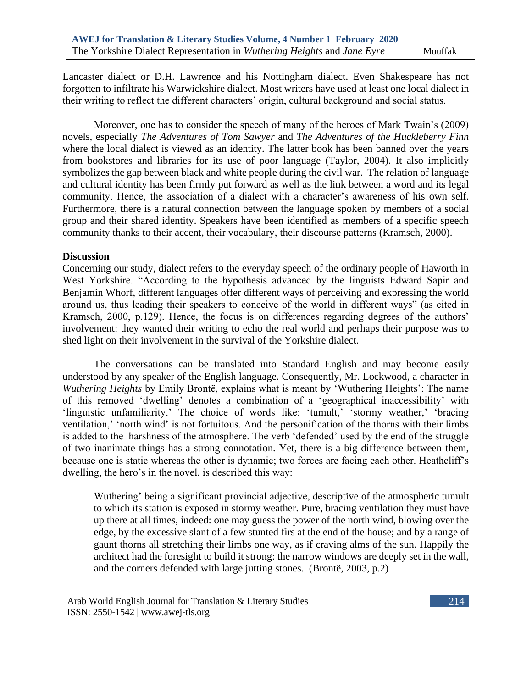Lancaster dialect or D.H. Lawrence and his Nottingham dialect. Even Shakespeare has not forgotten to infiltrate his Warwickshire dialect. Most writers have used at least one local dialect in their writing to reflect the different characters' origin, cultural background and social status.

 Moreover, one has to consider the speech of many of the heroes of Mark Twain's (2009) novels, especially *The Adventures of Tom Sawyer* and *The Adventures of the Huckleberry Finn* where the local dialect is viewed as an identity. The latter book has been banned over the years from bookstores and libraries for its use of poor language (Taylor, 2004). It also implicitly symbolizes the gap between black and white people during the civil war. The relation of language and cultural identity has been firmly put forward as well as the link between a word and its legal community. Hence, the association of a dialect with a character's awareness of his own self. Furthermore, there is a natural connection between the language spoken by members of a social group and their shared identity. Speakers have been identified as members of a specific speech community thanks to their accent, their vocabulary, their discourse patterns (Kramsch, 2000).

### **Discussion**

Concerning our study, dialect refers to the everyday speech of the ordinary people of Haworth in West Yorkshire. "According to the hypothesis advanced by the linguists Edward Sapir and Benjamin Whorf, different languages offer different ways of perceiving and expressing the world around us, thus leading their speakers to conceive of the world in different ways" (as cited in Kramsch, 2000, p.129). Hence, the focus is on differences regarding degrees of the authors' involvement: they wanted their writing to echo the real world and perhaps their purpose was to shed light on their involvement in the survival of the Yorkshire dialect.

 The conversations can be translated into Standard English and may become easily understood by any speaker of the English language. Consequently, Mr. Lockwood, a character in *Wuthering Heights* by Emily Brontë, explains what is meant by 'Wuthering Heights': The name of this removed 'dwelling' denotes a combination of a 'geographical inaccessibility' with 'linguistic unfamiliarity.' The choice of words like: 'tumult,' 'stormy weather,' 'bracing ventilation,' 'north wind' is not fortuitous. And the personification of the thorns with their limbs is added to the harshness of the atmosphere. The verb 'defended' used by the end of the struggle of two inanimate things has a strong connotation. Yet, there is a big difference between them, because one is static whereas the other is dynamic; two forces are facing each other. Heathcliff's dwelling, the hero's in the novel, is described this way:

Wuthering' being a significant provincial adjective, descriptive of the atmospheric tumult to which its station is exposed in stormy weather. Pure, bracing ventilation they must have up there at all times, indeed: one may guess the power of the north wind, blowing over the edge, by the excessive slant of a few stunted firs at the end of the house; and by a range of gaunt thorns all stretching their limbs one way, as if craving alms of the sun. Happily the architect had the foresight to build it strong: the narrow windows are deeply set in the wall, and the corners defended with large jutting stones. (Brontë, 2003, p.2)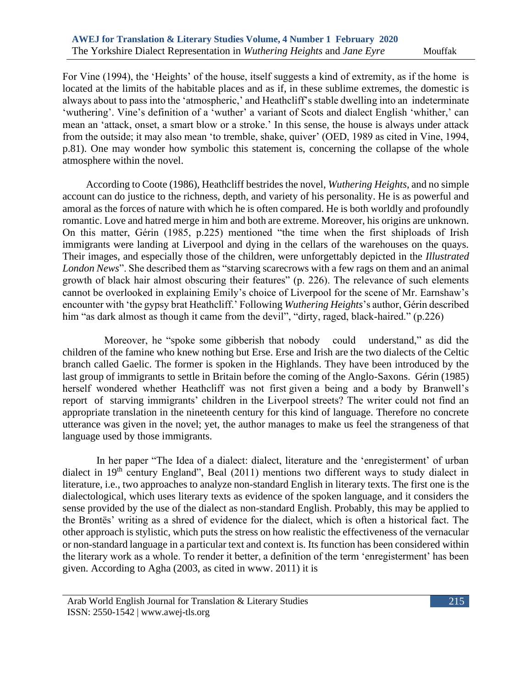For Vine (1994), the 'Heights' of the house, itself suggests a kind of extremity, as if the home is located at the limits of the habitable places and as if, in these sublime extremes, the domestic is always about to pass into the 'atmospheric,' and Heathcliff's stable dwelling into an indeterminate 'wuthering'. Vine's definition of a 'wuther' a variant of Scots and dialect English 'whither,' can mean an 'attack, onset, a smart blow or a stroke.' In this sense, the house is always under attack from the outside; it may also mean 'to tremble, shake, quiver' (OED, 1989 as cited in Vine, 1994, p.81). One may wonder how symbolic this statement is, concerning the collapse of the whole atmosphere within the novel.

 According to Coote (1986), Heathcliff bestrides the novel, *Wuthering Heights*, and no simple account can do justice to the richness, depth, and variety of his personality. He is as powerful and amoral as the forces of nature with which he is often compared. He is both worldly and profoundly romantic. Love and hatred merge in him and both are extreme. Moreover, his origins are unknown. On this matter, Gérin (1985, p.225) mentioned "the time when the first shiploads of Irish immigrants were landing at Liverpool and dying in the cellars of the warehouses on the quays. Their images, and especially those of the children, were unforgettably depicted in the *Illustrated London News*". She described them as "starving scarecrows with a few rags on them and an animal growth of black hair almost obscuring their features" (p. 226). The relevance of such elements cannot be overlooked in explaining Emily's choice of Liverpool for the scene of Mr. Earnshaw's encounter with 'the gypsy brat Heathcliff.' Following *Wuthering Heights*'s author, Gérin described him "as dark almost as though it came from the devil", "dirty, raged, black-haired." (p.226)

 Moreover, he "spoke some gibberish that nobody could understand," as did the children of the famine who knew nothing but Erse. Erse and Irish are the two dialects of the Celtic branch called Gaelic. The former is spoken in the Highlands. They have been introduced by the last group of immigrants to settle in Britain before the coming of the Anglo-Saxons. Gérin (1985) herself wondered whether Heathcliff was not first given a being and a body by Branwell's report of starving immigrants' children in the Liverpool streets? The writer could not find an appropriate translation in the nineteenth century for this kind of language. Therefore no concrete utterance was given in the novel; yet, the author manages to make us feel the strangeness of that language used by those immigrants.

 In her paper "The Idea of a dialect: dialect, literature and the 'enregisterment' of urban dialect in 19<sup>th</sup> century England", Beal (2011) mentions two different ways to study dialect in literature, i.e., two approaches to analyze non-standard English in literary texts. The first one is the dialectological, which uses literary texts as evidence of the spoken language, and it considers the sense provided by the use of the dialect as non-standard English. Probably, this may be applied to the Brontës' writing as a shred of evidence for the dialect, which is often a historical fact. The other approach is stylistic, which puts the stress on how realistic the effectiveness of the vernacular or non-standard language in a particular text and context is. Its function has been considered within the literary work as a whole. To render it better, a definition of the term 'enregisterment' has been given. According to Agha (2003, as cited in www. 2011) it is

Arab World English Journal for Translation & Literary Studies ISSN: 2550-1542 | [www.awej-tls.org](http://www.awej-tls.org/)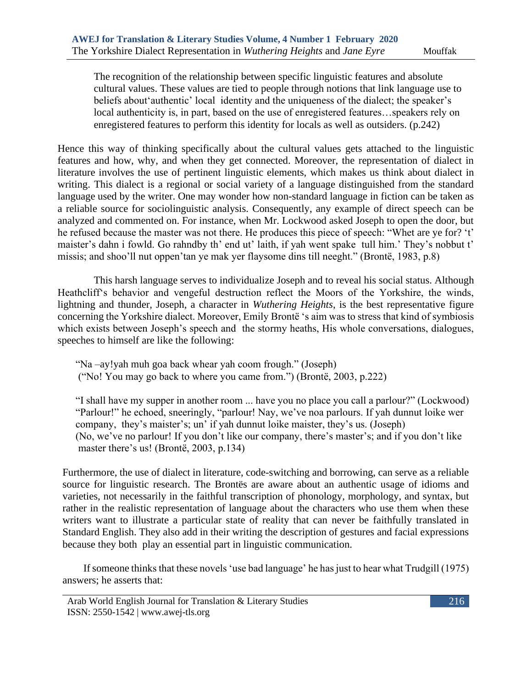The recognition of the relationship between specific linguistic features and absolute cultural values. These values are tied to people through notions that link language use to beliefs about'authentic' local identity and the uniqueness of the dialect; the speaker's local authenticity is, in part, based on the use of enregistered features…speakers rely on enregistered features to perform this identity for locals as well as outsiders. (p.242)

Hence this way of thinking specifically about the cultural values gets attached to the linguistic features and how, why, and when they get connected. Moreover, the representation of dialect in literature involves the use of pertinent linguistic elements, which makes us think about dialect in writing. This dialect is a regional or social variety of a language distinguished from the standard language used by the writer. One may wonder how non-standard language in fiction can be taken as a reliable source for sociolinguistic analysis. Consequently, any example of direct speech can be analyzed and commented on. For instance, when Mr. Lockwood asked Joseph to open the door, but he refused because the master was not there. He produces this piece of speech: "Whet are ye for? 't' maister's dahn i fowld. Go rahndby th' end ut' laith, if yah went spake tull him.' They's nobbut t' missis; and shoo'll nut oppen'tan ye mak yer flaysome dins till neeght." (Brontë, 1983, p.8)

This harsh language serves to individualize Joseph and to reveal his social status. Although Heathcliff's behavior and vengeful destruction reflect the Moors of the Yorkshire, the winds, lightning and thunder, Joseph, a character in *Wuthering Heights*, is the best representative figure concerning the Yorkshire dialect. Moreover, Emily Brontë 's aim was to stress that kind of symbiosis which exists between Joseph's speech and the stormy heaths, His whole conversations, dialogues, speeches to himself are like the following:

 "Na –ay!yah muh goa back whear yah coom frough." (Joseph) ("No! You may go back to where you came from.") (Brontë, 2003, p.222)

 "I shall have my supper in another room ... have you no place you call a parlour?" (Lockwood) "Parlour!" he echoed, sneeringly, "parlour! Nay, we've noa parlours. If yah dunnut loike wer company, they's maister's; un' if yah dunnut loike maister, they's us. (Joseph) (No, we've no parlour! If you don't like our company, there's master's; and if you don't like master there's us! (Brontë, 2003, p.134)

Furthermore, the use of dialect in literature, code-switching and borrowing, can serve as a reliable source for linguistic research. The Brontës are aware about an authentic usage of idioms and varieties, not necessarily in the faithful transcription of phonology, morphology, and syntax, but rather in the realistic representation of language about the characters who use them when these writers want to illustrate a particular state of reality that can never be faithfully translated in Standard English. They also add in their writing the description of gestures and facial expressions because they both play an essential part in linguistic communication.

 If someone thinks that these novels 'use bad language' he has just to hear what Trudgill (1975) answers; he asserts that:

Arab World English Journal for Translation & Literary Studies ISSN: 2550-1542 | [www.awej-tls.org](http://www.awej-tls.org/)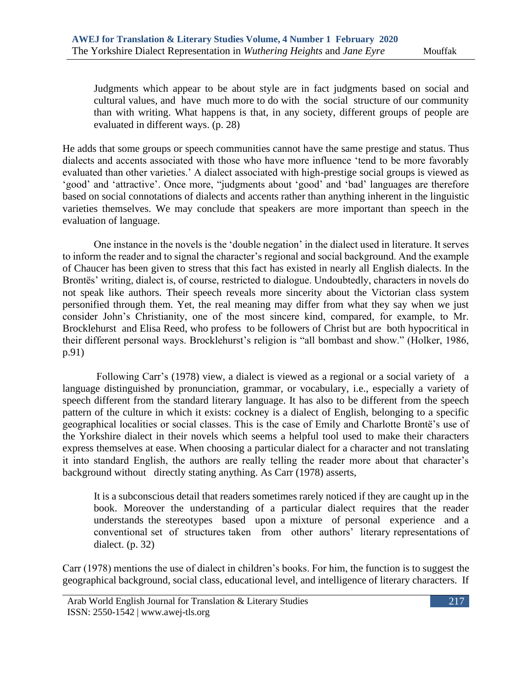Judgments which appear to be about style are in fact judgments based on social and cultural values, and have much more to do with the social structure of our community than with writing. What happens is that, in any society, different groups of people are evaluated in different ways. (p. 28)

He adds that some groups or speech communities cannot have the same prestige and status. Thus dialects and accents associated with those who have more influence 'tend to be more favorably evaluated than other varieties.' A dialect associated with high-prestige social groups is viewed as 'good' and 'attractive'. Once more, "judgments about 'good' and 'bad' languages are therefore based on social connotations of dialects and accents rather than anything inherent in the linguistic varieties themselves. We may conclude that speakers are more important than speech in the evaluation of language.

 One instance in the novels is the 'double negation' in the dialect used in literature. It serves to inform the reader and to signal the character's regional and social background. And the example of Chaucer has been given to stress that this fact has existed in nearly all English dialects. In the Brontës' writing, dialect is, of course, restricted to dialogue. Undoubtedly, characters in novels do not speak like authors. Their speech reveals more sincerity about the Victorian class system personified through them. Yet, the real meaning may differ from what they say when we just consider John's Christianity, one of the most sincere kind, compared, for example, to Mr. Brocklehurst and Elisa Reed, who profess to be followers of Christ but are both hypocritical in their different personal ways. Brocklehurst's religion is "all bombast and show." (Holker, 1986, p.91)

 Following Carr's (1978) view, a dialect is viewed as a regional or a social variety of a language distinguished by pronunciation, grammar, or vocabulary, i.e., especially a variety of speech different from the standard literary language. It has also to be different from the speech pattern of the culture in which it exists: cockney is a dialect of English, belonging to a specific geographical localities or social classes. This is the case of Emily and Charlotte Brontë's use of the Yorkshire dialect in their novels which seems a helpful tool used to make their characters express themselves at ease. When choosing a particular dialect for a character and not translating it into standard English, the authors are really telling the reader more about that character's background without directly stating anything. As Carr (1978) asserts,

It is a subconscious detail that readers sometimes rarely noticed if they are caught up in the book. Moreover the understanding of a particular dialect requires that the reader understands the stereotypes based upon a mixture of personal experience and a conventional set of structures taken from other authors' literary representations of dialect. (p. 32)

Carr (1978) mentions the use of dialect in children's books. For him, the function is to suggest the geographical background, social class, educational level, and intelligence of literary characters. If

Arab World English Journal for Translation & Literary Studies ISSN: 2550-1542 | [www.awej-tls.org](http://www.awej-tls.org/)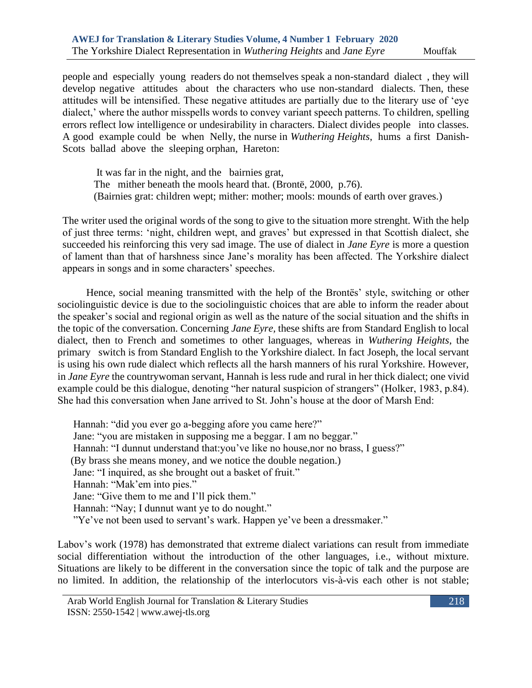people and especially young readers do not themselves speak a non-standard dialect , they will develop negative attitudes about the characters who use non-standard dialects. Then, these attitudes will be intensified. These negative attitudes are partially due to the literary use of 'eye dialect,' where the author misspells words to convey variant speech patterns. To children, spelling errors reflect low intelligence or undesirability in characters. Dialect divides people into classes. A good example could be when Nelly, the nurse in *Wuthering Heights*, hums a first Danish-Scots ballad above the sleeping orphan, Hareton:

 It was far in the night, and the bairnies grat, The mither beneath the mools heard that. (Brontë, 2000, p.76). (Bairnies grat: children wept; mither: mother; mools: mounds of earth over graves.)

The writer used the original words of the song to give to the situation more strenght. With the help of just three terms: 'night, children wept, and graves' but expressed in that Scottish dialect, she succeeded his reinforcing this very sad image. The use of dialect in *Jane Eyre* is more a question of lament than that of harshness since Jane's morality has been affected. The Yorkshire dialect appears in songs and in some characters' speeches.

 Hence, social meaning transmitted with the help of the Brontës' style, switching or other sociolinguistic device is due to the sociolinguistic choices that are able to inform the reader about the speaker's social and regional origin as well as the nature of the social situation and the shifts in the topic of the conversation. Concerning *Jane Eyre,* these shifts are from Standard English to local dialect, then to French and sometimes to other languages, whereas in *Wuthering Heights*, the primary switch is from Standard English to the Yorkshire dialect. In fact Joseph, the local servant is using his own rude dialect which reflects all the harsh manners of his rural Yorkshire. However, in *Jane Eyre* the countrywoman servant, Hannah is less rude and rural in her thick dialect; one vivid example could be this dialogue, denoting "her natural suspicion of strangers" (Holker, 1983, p.84). She had this conversation when Jane arrived to St. John's house at the door of Marsh End:

 Hannah: "did you ever go a-begging afore you came here?" Jane: "you are mistaken in supposing me a beggar. I am no beggar." Hannah: "I dunnut understand that: you've like no house, nor no brass, I guess?" (By brass she means money, and we notice the double negation.) Jane: "I inquired, as she brought out a basket of fruit." Hannah: "Mak'em into pies." Jane: "Give them to me and I'll pick them." Hannah: "Nay; I dunnut want ye to do nought." "Ye've not been used to servant's wark. Happen ye've been a dressmaker."

Labov's work (1978) has demonstrated that extreme dialect variations can result from immediate social differentiation without the introduction of the other languages, i.e., without mixture. Situations are likely to be different in the conversation since the topic of talk and the purpose are no limited. In addition, the relationship of the interlocutors vis-à-vis each other is not stable;

Arab World English Journal for Translation & Literary Studies ISSN: 2550-1542 | [www.awej-tls.org](http://www.awej-tls.org/)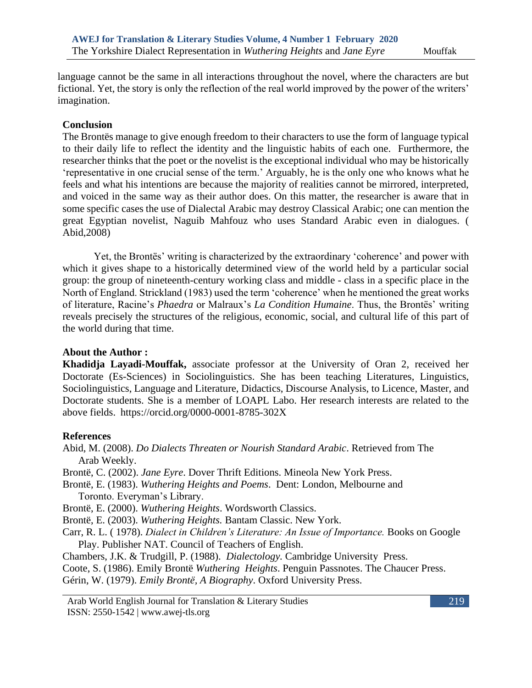language cannot be the same in all interactions throughout the novel, where the characters are but fictional. Yet, the story is only the reflection of the real world improved by the power of the writers' imagination.

### **Conclusion**

The Brontës manage to give enough freedom to their characters to use the form of language typical to their daily life to reflect the identity and the linguistic habits of each one. Furthermore, the researcher thinks that the poet or the novelist is the exceptional individual who may be historically 'representative in one crucial sense of the term.' Arguably, he is the only one who knows what he feels and what his intentions are because the majority of realities cannot be mirrored, interpreted, and voiced in the same way as their author does. On this matter, the researcher is aware that in some specific cases the use of Dialectal Arabic may destroy Classical Arabic; one can mention the great Egyptian novelist, Naguib Mahfouz who uses Standard Arabic even in dialogues. ( Abid,2008)

 Yet, the Brontës' writing is characterized by the extraordinary 'coherence' and power with which it gives shape to a historically determined view of the world held by a particular social group: the group of nineteenth-century working class and middle - class in a specific place in the North of England. Strickland (1983) used the term 'coherence' when he mentioned the great works of literature, Racine's *Phaedra* or Malraux's *La Condition Humaine*. Thus, the Brontës' writing reveals precisely the structures of the religious, economic, social, and cultural life of this part of the world during that time.

#### **About the Author :**

**Khadidja Layadi-Mouffak,** associate professor at the University of Oran 2, received her Doctorate (Es-Sciences) in Sociolinguistics. She has been teaching Literatures, Linguistics, Sociolinguistics, Language and Literature, Didactics, Discourse Analysis, to Licence, Master, and Doctorate students. She is a member of LOAPL Labo. Her research interests are related to the above fields. https://orcid.org/0000-0001-8785-302X

### **References**

Abid, M. (2008). *Do Dialects Threaten or Nourish Standard Arabic*. Retrieved from The Arab Weekly.

Brontë, C. (2002). *Jane Eyre*. Dover Thrift Editions. Mineola New York Press.

Brontë, E. (1983). *Wuthering Heights and Poems*. Dent: London, Melbourne and Toronto. Everyman's Library.

Brontë, E. (2000). *Wuthering Heights*. Wordsworth Classics.

Brontë, E. (2003). *Wuthering Heights.* Bantam Classic. New York.

Carr, R. L. ( 1978). *Dialect in Children's Literature: An Issue of Importance.* Books on Google Play. Publisher NAT. Council of Teachers of English.

Chambers, J.K. & Trudgill, P. (1988). *Dialectology.* Cambridge University Press.

Coote, S. (1986). Emily Brontë *Wuthering Heights*. Penguin Passnotes. The Chaucer Press. Gérin, W. (1979). *Emily Brontë, A Biography*. Oxford University Press.

Arab World English Journal for Translation & Literary Studies ISSN: 2550-1542 | [www.awej-tls.org](http://www.awej-tls.org/)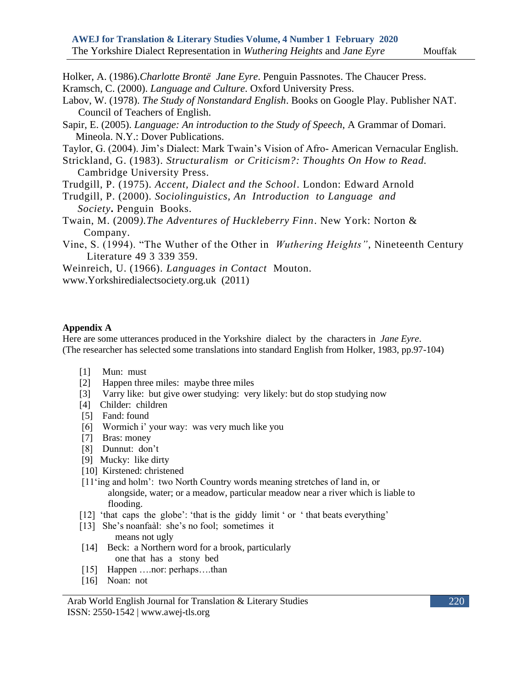- Holker, A. (1986).*Charlotte Brontë Jane Eyre*. Penguin Passnotes. The Chaucer Press. Kramsch, C. (2000). *Language and Culture*. Oxford University Press.
- Labov, W. (1978). *The Study of Nonstandard English*. Books on Google Play. Publisher NAT. Council of Teachers of English.
- Sapir, E. (2005). *Language: An introduction to the Study of Speech*, A Grammar of Domari. Mineola. N.Y.: Dover Publications.
- Taylor, G. (2004). Jim's Dialect: Mark Twain's Vision of Afro- American Vernacular English.
- Strickland, G. (1983). *Structuralism or Criticism?: Thoughts On How to Read.* Cambridge University Press.
- Trudgill, P. (1975). *Accent, Dialect and the School*. London: Edward Arnold
- Trudgill, P. (2000). *Sociolinguistics, An Introduction to Language and Society***.** Penguin Books.
- Twain, M. (2009*).The Adventures of Huckleberry Finn*. New York: Norton & Company.
- Vine, S. (1994). "The Wuther of the Other in *Wuthering Heights"*, Nineteenth Century Literature 49 3 339 359.

Weinreich, U. (1966). *Languages in Contact* Mouton. [www.Yorkshiredialectsociety.org.uk](http://www.yorkshiredialectsociety.org.uk/) (2011)

#### **Appendix A**

Here are some utterances produced in the Yorkshire dialect by the characters in *Jane Eyre*. (The researcher has selected some translations into standard English from Holker, 1983, pp.97-104)

- [1] Mun: must
- [2] Happen three miles: maybe three miles
- [3] Varry like: but give ower studying: very likely: but do stop studying now
- [4] Childer: children
- [5] Fand: found
- [6] Wormich i' your way: was very much like you
- [7] Bras: money
- [8] Dunnut: don't
- [9] Mucky: like dirty
- [10] Kirstened: christened
- [11'ing and holm': two North Country words meaning stretches of land in, or alongside, water; or a meadow, particular meadow near a river which is liable to flooding.
- [12] 'that caps the globe': 'that is the giddy limit' or 'that beats everything'
- [13] She's noanfaàl: she's no fool; sometimes it
- means not ugly
- [14] Beck: a Northern word for a brook, particularly one that has a stony bed
- [15] Happen .... nor: perhaps... than
- [16] Noan: not

Arab World English Journal for Translation & Literary Studies ISSN: 2550-1542 | [www.awej-tls.org](http://www.awej-tls.org/)